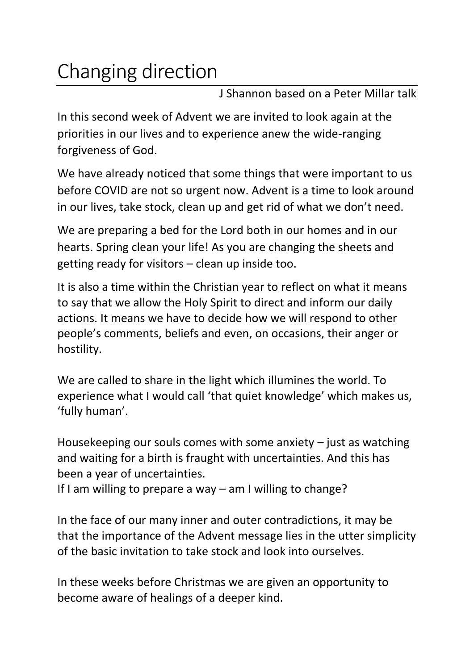## Changing direction

J Shannon based on a Peter Millar talk

In this second week of Advent we are invited to look again at the priorities in our lives and to experience anew the wide-ranging forgiveness of God.

We have already noticed that some things that were important to us before COVID are not so urgent now. Advent is a time to look around in our lives, take stock, clean up and get rid of what we don't need.

We are preparing a bed for the Lord both in our homes and in our hearts. Spring clean your life! As you are changing the sheets and getting ready for visitors – clean up inside too.

It is also a time within the Christian year to reflect on what it means to say that we allow the Holy Spirit to direct and inform our daily actions. It means we have to decide how we will respond to other people's comments, beliefs and even, on occasions, their anger or hostility.

We are called to share in the light which illumines the world. To experience what I would call 'that quiet knowledge' which makes us, 'fully human'.

Housekeeping our souls comes with some anxiety – just as watching and waiting for a birth is fraught with uncertainties. And this has been a year of uncertainties.

If I am willing to prepare a way – am I willing to change?

In the face of our many inner and outer contradictions, it may be that the importance of the Advent message lies in the utter simplicity of the basic invitation to take stock and look into ourselves.

In these weeks before Christmas we are given an opportunity to become aware of healings of a deeper kind.